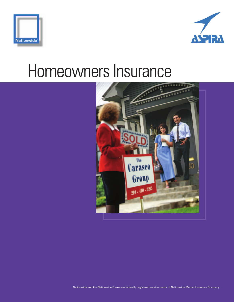



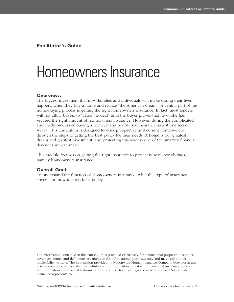**Facilitator's Guide**

## Homeowners Insurance

#### **Overview:**

The biggest investment that most families and individuals will make during their lives happens when they buy a home and realize "the American dream." A central part of the home-buying process is getting the right homeowners insurance. In fact, most lenders will not allow buyers to "close the deal" until the buyer proves that he or she has secured the right amount of homeowners insurance. However, during the complicated and costly process of buying a home, many people see insurance as just one more worry. This curriculum is designed to walk prospective and current homeowners through the steps to getting the best policy for their needs. A home is our greatest dream and greatest investment, and protecting this asset is one of the smartest financial decisions we can make.

This module focuses on getting the right insurance to protect new responsibilities, namely homeowners insurance.

#### **Overall Goal:**

To understand the function of Homeowners Insurance, what this type of insurance covers and how to shop for a policy.

The information contained in this curriculum is provided exclusively for instructional purposes. Insurance coverages, terms, and definitions are intended for informational purposes only and may vary in their applicability by state. The information provided by Nationwide Mutual Insurance Company does not in any way replace or otherwise alter the definitions and information contained in individual insurance policies. For information about actual Nationwide Insurance contract coverages, contact a licensed Nationwide Insurance representative.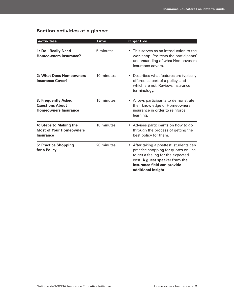## **Section activities at a glance:**

| <b>Activities</b>                                                            | Time       | <b>Objective</b>                                                                                                                                                                                              |  |  |  |
|------------------------------------------------------------------------------|------------|---------------------------------------------------------------------------------------------------------------------------------------------------------------------------------------------------------------|--|--|--|
| 1: Do I Really Need<br>Homeowners Insurance?                                 | 5 minutes  | This serves as an introduction to the<br>workshop. Pre-tests the participants'<br>understanding of what Homeowners<br>insurance covers.                                                                       |  |  |  |
| 2: What Does Homeowners<br><b>Insurance Cover?</b>                           | 10 minutes | • Describes what features are typically<br>offered as part of a policy, and<br>which are not. Reviews insurance<br>terminology.                                                                               |  |  |  |
| 3: Frequently Asked<br><b>Questions About</b><br><b>Homeowners Insurance</b> | 15 minutes | Allows participants to demonstrate<br>their knowledge of Homeowners<br>insurance in order to reinforce<br>learning.                                                                                           |  |  |  |
| 4: Steps to Making the<br><b>Most of Your Homeowners</b><br><b>Insurance</b> | 10 minutes | Advises participants on how to go<br>through the process of getting the<br>best policy for them.                                                                                                              |  |  |  |
| <b>5: Practice Shopping</b><br>for a Policy                                  | 20 minutes | • After taking a posttest, students can<br>practice shopping for quotes on line,<br>to get a feeling for the expected<br>cost. A guest speaker from the<br>insurance field can provide<br>additional insight. |  |  |  |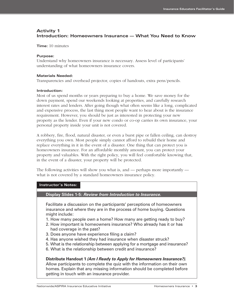### **Activity 1 Introduction: Homeowners Insurance — What You Need to Know**

**Time:** 10 minutes

#### **Purpose:**

Understand why homeowners insurance is necessary. Assess level of participants' understanding of what homeowners insurance covers.

#### **Materials Needed:**

Transparencies and overhead projector, copies of handouts, extra pens/pencils.

#### **Introduction:**

Most of us spend months or years preparing to buy a home. We save money for the down payment, spend our weekends looking at properties, and carefully research interest rates and lenders. After going though what often seems like a long, complicated and expensive process, the last thing most people want to hear about is the insurance requirement. However, you should be just as interested in protecting your new property as the lender. Even if your new condo or co-op carries its own insurance, your personal property inside your unit is not covered.

A robbery, fire, flood, natural disaster, or even a burst pipe or fallen ceiling, can destroy everything you own. Most people simply cannot afford to rebuild their home and replace everything in it in the event of a disaster. One thing that can protect you is homeowners insurance. For an affordable monthly amount, you can protect your property and valuables. With the right policy, you will feel comfortable knowing that, in the event of a disaster, your property will be protected.

The following activities will show you what is, and — perhaps more importantly what is not covered by a standard homeowners insurance policy.

#### **Instructor's Notes:**

**Display Slides 1-5:** *Review from Introduction to Insurance.*

Facilitate a discussion on the participants' perceptions of homeowners insurance and where they are in the process of home buying. Questions might include:

- 1. How many people own a home? How many are getting ready to buy?
- 2. How important is homeowners insurance? Who already has it or has had coverage in the past?
- 3. Does anyone have experience filing a claim?
- 4. Has anyone wished they had insurance when disaster struck?
- 5. What is the relationship between applying for a mortgage and insurance?
- 6. What is the relationship between credit and insurance?

**Distribute Handout 1** *(Am I Ready to Apply for Homeowners Insurance?).* Allow participants to complete the quiz with the information on their own homes. Explain that any missing information should be completed before getting in touch with an insurance provider.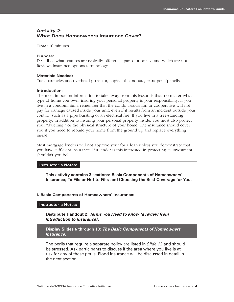### **Activity 2: What Does Homeowners Insurance Cover?**

**Time:** 10 minutes

#### **Purpose:**

Describes what features are typically offered as part of a policy, and which are not. Reviews insurance options terminology.

#### **Materials Needed:**

Transparencies and overhead projector, copies of handouts, extra pens/pencils.

#### **Introduction:**

The most important information to take away from this lesson is that, no matter what type of home you own, insuring your personal property is your responsibility. If you live in a condominium, remember that the condo association or cooperative will not pay for damage caused inside your unit, even if it results from an incident outside your control, such as a pipe bursting or an electrical fire. If you live in a free-standing property, in addition to insuring your personal property inside, you must also protect your "dwelling," or the physical structure of your home. The insurance should cover you if you need to rebuild your home from the ground up and replace everything inside.

Most mortgage lenders will not approve your for a loan unless you demonstrate that you have sufficient insurance. If a lender is this interested in protecting its investment, shouldn't you be?

#### **Instructor's Notes:**

**This activity contains 3 sections: Basic Components of Homeowners' Insurance; To File or Not to File; and Choosing the Best Coverage for You.**

#### **I. Basic Components of Homeowners' Insurance:**

#### **Instructor's Notes:**

**Distribute Handout 2:** *Terms You Need to Know (a review from Introduction to Insurance)*.

**Display Slides 6 through 13:** *The Basic Components of Homeowners Insurance.*

The perils that require a separate policy are listed in *Slide 13* and should be stressed. Ask participants to discuss if the area where you live is at risk for any of these perils. Flood insurance will be discussed in detail in the next section.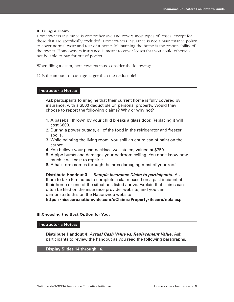#### **II. Filing a Claim**

Homeowners insurance is comprehensive and covers most types of losses, except for those that are specifically excluded. Homeowners insurance is not a maintenance policy to cover normal wear and tear of a home. Maintaining the home is the responsibility of the owner. Homeowners insurance is meant to cover losses that you could otherwise not be able to pay for out of pocket.

When filing a claim, homeowners must consider the following:

1) Is the amount of damage larger than the deductible?

#### **Instructor's Notes:**

Ask participants to imagine that their current home is fully covered by insurance, with a \$500 deductible on personal property. Would they choose to report the following claims? Why or why not?

- 1. A baseball thrown by your child breaks a glass door. Replacing it will cost \$600.
- 2. During a power outage, all of the food in the refrigerator and freezer spoils.
- 3. While painting the living room, you spill an entire can of paint on the carpet.
- 4. You believe your pearl necklace was stolen, valued at \$750.
- 5. A pipe bursts and damages your bedroom ceiling. You don't know how much it will cost to repair it.
- 6. A hailstorm comes through the area damaging most of your roof.

**Distribute Handout 3 —** *Sample Insurance Claim to participants.* Ask them to take 5 minutes to complete a claim based on a past incident at their home or one of the situations listed above. Explain that claims can often be filed on the insurance provider website, and you can demonstrate this on the Nationwide website:

**https://nisecure.nationwide.com/eClaims/Property/Secure/nola.asp**

#### **III.Choosing the Best Option for You:**

#### **Instructor's Notes:**

**Distribute Handout 4:** *Actual Cash Value vs. Replacement Value***.** Ask participants to review the handout as you read the following paragraphs.

**Display Slides 14 through 16.**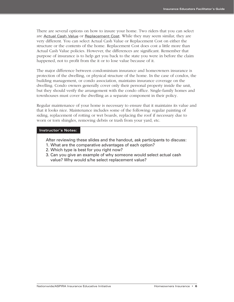There are several options on how to insure your home. Two riders that you can select are **Actual Cash Value** or Replacement Cost. While they may seem similar, they are very different. You can select Actual Cash Value or Replacement Cost on either the structure or the contents of the home. Replacement Cost does cost a little more than Actual Cash Value policies. However, the differences are significant. Remember that purpose of insurance is to help get you back to the state you were in before the claim happened, not to profit from the it or to lose value because of it.

The major difference between condominium insurance and homeowners insurance is protection of the dwelling, or physical structure of the home. In the case of condos, the building management, or condo association, maintains insurance coverage on the dwelling. Condo owners generally cover only their personal property inside the unit, but they should verify the arrangement with the condo office. Single-family homes and townhouses must cover the dwelling as a separate component in their policy.

Regular maintenance of your home is necessary to ensure that it maintains its value and that it looks nice. Maintenance includes some of the following: regular painting of siding, replacement of rotting or wet boards, replacing the roof if necessary due to worn or torn shingles, removing debris or trash from your yard, etc.

#### **Instructor's Notes:**

- After reviewing these slides and the handout, ask participants to discuss:
- 1. What are the comparative advantages of each option?
- 2. Which type is best for you right now?
- 3. Can you give an example of why someone would select actual cash value? Why would s/he select replacement value?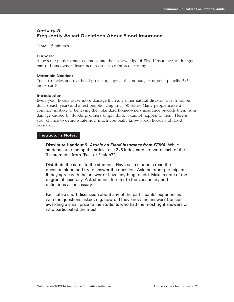### **Activity 3: Frequently Asked Questions About Flood Insurance**

**Time:** 15 minutes

#### **Purpose:**

Allows the participants to demonstrate their knowledge of Flood Insurance, an integral part of homeowners insurance in order to reinforce learning.

#### **Materials Needed:**

Transparencies and overhead projector, copies of handouts, extra pens/pencils, 3x5 index cards.

#### **Introduction:**

Every year, floods cause more damage than any other natural disaster (over 2 billion dollars each year) and affect people living in all 50 states. Many people make a common mistake of believing their standard homeowners insurance protects them from damage caused by flooding. Others simply think it cannot happen to them. Here is your chance to demonstrate how much you really know about floods and flood insurance.

#### **Instructor's Notes:**

**Distribute Handout 5:** *Article on Flood Insurance from FEMA***.** While students are reading the article, use 3x5 index cards to write each of the 9 statements from "Fact or Fiction?"

Distribute the cards to the students. Have each students read the question aloud and try to answer the question. Ask the other participants if they agree with the answer or have anything to add. Make a note of the degree of accuracy. Ask students to refer to the vocabulary and definitions as necessary.

Facilitate a short discussion about any of the participants' experiences with the questions asked, e.g. how did they know the answer? Consider awarding a small prize to the students who had the most right answers or who participated the most.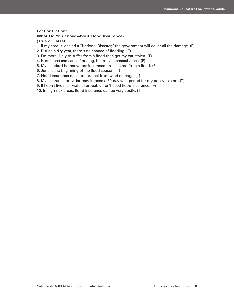#### **Fact or Fiction:**

#### **What Do You Know About Flood Insurance?**

#### **(True or False)**

- 1. If my area is labeled a "National Disaster," the government will cover all the damage. (F)
- 2. During a dry year, there's no chance of flooding. (F)
- 3. I'm more likely to suffer from a flood than get my car stolen. (T)
- 4. Hurricanes can cause flooding, but only in coastal areas. (F)
- 5. My standard homeowners insurance protects me from a flood. (F)
- 6. June is the beginning of the flood season. (T)
- 7. Flood insurance does not protect from wind damage. (T)
- 8. My insurance provider may impose a 30-day wait period for my policy to start. (T)
- 9. If I don't live near water, I probably don't need flood insurance. (F)
- 10. In high-risk areas, flood insurance can be very costly. (T)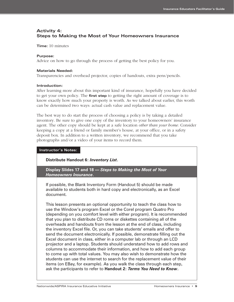### **Activity 4: Steps to Making the Most of Your Homeowners Insurance**

**Time:** 10 minutes

#### **Purpose:**

Advice on how to go through the process of getting the best policy for you.

#### **Materials Needed:**

Transparencies and overhead projector, copies of handouts, extra pens/pencils.

#### **Introduction:**

After learning more about this important kind of insurance, hopefully you have decided to get your own policy. The **first step** to getting the right amount of coverage is to know exactly how much your property is worth. As we talked about earlier, this worth can be determined two ways: actual cash value and replacement value.

The best way to do start the process of choosing a policy is by taking a detailed inventory. Be sure to give one copy of the inventory to your homeowners' insurance agent. The other copy should be kept at a safe location *other than your home.* Consider keeping a copy at a friend or family member's house, at your office, or in a safety deposit box. In addition to a written inventory, we recommend that you take photographs and/or a video of your items to record them.

#### **Instructor's Notes:**

#### **Distribute Handout 6:** *Inventory List***.**

**Display Slides 17 and 18 —** *Steps to Making the Most of Your Homeowners Insurance***.** 

If possible, the Blank Inventory Form (Handout 5) should be made available to students both in hard copy and electronically, as an Excel document.

This lesson presents an optional opportunity to teach the class how to use the Window's program Excel or the Corel program Quatro Pro (depending on you comfort level with either program). It is recommended that you plan to distribute CD roms or diskettes containing all of the overheads and handouts from the lesson at the end of class, including the inventory Excel file. Or, you can take students' emails and offer to send the document electronically. If possible, demonstrate filling out the Excel document in class, either in a computer lab or through an LCD projector and a laptop. Students should understand how to add rows and columns to accommodate their information, and how to add each group to come up with total values. You may also wish to demonstrate how the students can use the internet to search for the replacement value of their items (on EBay, for example). As you walk the class through each step, ask the participants to refer to **Handout 2:** *Terms You Need to Know***.**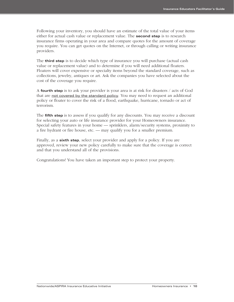Following your inventory, you should have an estimate of the total value of your items either for actual cash value or replacement value. The **second step** is to research insurance firms operating in your area and compare quotes for the amount of coverage you require. You can get quotes on the Internet, or through calling or writing insurance providers.

The **third step** is to decide which type of insurance you will purchase (actual cash value or replacement value) and to determine if you will need additional floaters. Floaters will cover expensive or specialty items beyond the standard coverage, such as collections, jewelry, antiques or art. Ask the companies you have selected about the cost of the coverage you require.

A **fourth step** is to ask your provider is your area is at risk for disasters / acts of God that are not covered by the standard policy. You may need to request an additional policy or floater to cover the risk of a flood, earthquake, hurricane, tornado or act of terrorism.

The **fifth step** is to assess if you qualify for any discounts. You may receive a discount for selecting your auto or life insurance provider for your Homeowners insurance. Special safety features in your home — sprinklers, alarm/security systems, proximity to a fire hydrant or fire house, etc. — may qualify you for a smaller premium.

Finally, as a **sixth step**, select your provider and apply for a policy. If you are approved, review your new policy carefully to make sure that the coverage is correct and that you understand all of the provisions.

Congratulations! You have taken an important step to protect your property.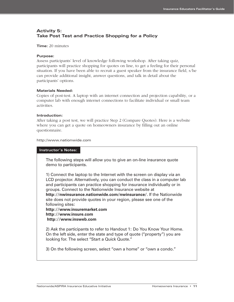### **Activity 5: Take Post Test and Practice Shopping for a Policy**

#### **Time:** 20 minutes

#### **Purpose:**

Assess participants' level of knowledge following workshop. After taking quiz, participants will practice shopping for quotes on line, to get a feeling for their personal situation. If you have been able to recruit a guest speaker from the insurance field, s/he can provide additional insight, answer questions, and talk in detail about the participants' options.

#### **Materials Needed:**

Copies of post-test. A laptop with an internet connection and projection capability, or a computer lab with enough internet connections to facilitate individual or small team activities.

#### **Introduction:**

After taking a post test, we will practice Step 2 (Compare Quotes). Here is a website where you can get a quote on homeowners insurance by filling out an online questionnaire.

#### http://www.nationwide.com

#### **Instructor's Notes:**

The following steps will allow you to give an on-line insurance quote demo to participants.

1) Connect the laptop to the Internet with the screen on display via an LCD projector. Alternatively, you can conduct the class in a computer lab and participants can practice shopping for insurance individually or in groups. Connect to the Nationwide Insurance website at **http://nwinsurance.nationwide.com/nwinsurance/**. If the Nationwide site does not provide quotes in your region, please see one of the following sites:

**http://www.insuremarket.com http://www.insure.com http://www.insweb.com**

2) Ask the participants to refer to Handout 1: Do You Know Your Home. On the left side, enter the state and type of quote ("property") you are looking for. The select "Start a Quick Quote."

3) On the following screen, select "own a home" or "own a condo."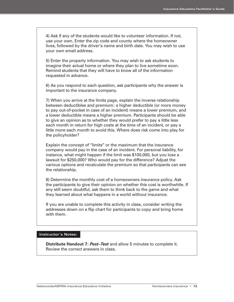4) Ask if any of the students would like to volunteer information. If not, use your own. Enter the zip code and county where the homeowner lives, followed by the driver's name and birth date. You may wish to use your own email address.

5) Enter the property information. You may wish to ask students to imagine their actual home or where they plan to live sometime soon. Remind students that they will have to know all of the information requested in advance.

6) As you respond to each question, ask participants why the answer is important to the insurance company.

7) When you arrive at the limits page, explain the inverse relationship between deductibles and premium: a higher deductible (or more money to pay out-of-pocket in case of an incident) means a lower premium, and a lower deductible means a higher premium. Participants should be able to give an opinion as to whether they would prefer to pay a little less each month in return for high costs at the time of an incident, or pay a little more each month to avoid this. Where does risk come into play for the policyholder?

Explain the concept of "limits" or the maximum that the insurance company would pay in the case of an incident. For personal liability, for instance, what might happen if the limit was \$100,000, but you lose a lawsuit for \$250,000? Who would pay for the difference? Adjust the various options and recalculate the premium so that participants can see the relationship.

8) Determine the monthly cost of a homeowners insurance policy. Ask the participants to give their opinion on whether this cost is worthwhile. If any still seem doubtful, ask them to think back to the game and what they learned about what happens in a world without insurance.

If you are unable to complete this activity in class, consider writing the addresses down on a flip chart for participants to copy and bring home with them.

#### **Instructor's Notes:**

**Distribute Handout 7:** *Post–Test* and allow 5 minutes to complete it. Review the correct answers in class.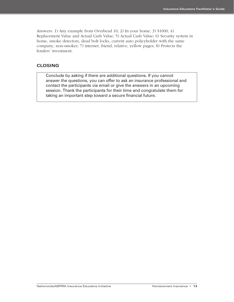Answers: 1) Any example from Overhead 10; 2) In your home; 3) \$1000; 4) Replacement Value and Actual Cash Value; 5) Actual Cash Value; 6) Security system in home, smoke detectors, dead bolt locks, current auto policyholder with the same company, non-smoker; 7) internet, friend, relative, yellow pages; 8) Protects the lenders' investment.

#### **CLOSING**

Conclude by asking if there are additional questions. If you cannot answer the questions, you can offer to ask an insurance professional and contact the participants via email or give the answers in an upcoming session. Thank the participants for their time and congratulate them for taking an important step toward a secure financial future.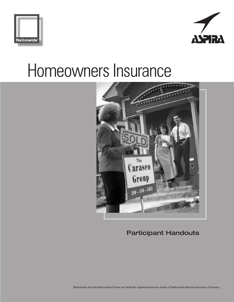





**Participant Handouts**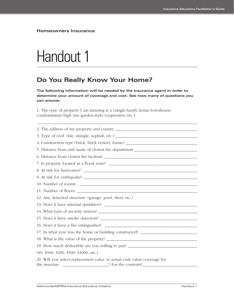# Handout 1

## **Do You Really Know Your Home?**

**The following information will be needed by the insurance agent in order to determine your amount of coverage and cost. See how many of questions you can answer.**

1. The type of property I am insuring is a (single-family home/townhouse condominium/high rise/garden-style/cooperative/etc.):

| 2. The address of my property and county:                                                                           |
|---------------------------------------------------------------------------------------------------------------------|
|                                                                                                                     |
| 4. Construction type (brick, brick veneer, frame) ______________________________                                    |
| 5. Distance from and name of closest fire department ___________________________                                    |
|                                                                                                                     |
|                                                                                                                     |
| 8. At risk for hurricanes?                                                                                          |
|                                                                                                                     |
|                                                                                                                     |
|                                                                                                                     |
| 12. Any detached structure: (garage, pool, shed, etc.)                                                              |
|                                                                                                                     |
|                                                                                                                     |
|                                                                                                                     |
|                                                                                                                     |
| 17. In what year was the home or building constructed? _________________________                                    |
|                                                                                                                     |
| 19. How much deductible are you willing to pay? ________________________________                                    |
| $(\$0, \$100, \$200, \$500, \$1000, etc.)$                                                                          |
| 20. Will you select replacement value or actual cash value coverage for<br>the structure and a set of the contents? |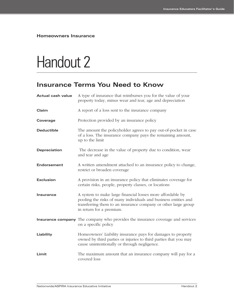# Handout 2

## **Insurance Terms You Need to Know**

| <b>Actual cash value</b> | A type of insurance that reimburses you for the value of your<br>property today, minus wear and tear, age and depreciation                                                                                                  |
|--------------------------|-----------------------------------------------------------------------------------------------------------------------------------------------------------------------------------------------------------------------------|
| Claim                    | A report of a loss sent to the insurance company                                                                                                                                                                            |
| Coverage                 | Protection provided by an insurance policy                                                                                                                                                                                  |
| <b>Deductible</b>        | The amount the policyholder agrees to pay out-of-pocket in case<br>of a loss. The insurance company pays the remaining amount,<br>up to the limit                                                                           |
| Depreciation             | The decrease in the value of property due to condition, wear<br>and tear and age                                                                                                                                            |
| <b>Endorsement</b>       | A written amendment attached to an insurance policy to change,<br>restrict or broaden coverage                                                                                                                              |
| <b>Exclusion</b>         | A provision in an insurance policy that eliminates coverage for<br>certain risks, people, property classes, or locations                                                                                                    |
| Insurance                | A system to make large financial losses more affordable by<br>pooling the risks of many individuals and business entities and<br>transferring them to an insurance company or other large group<br>in return for a premium. |
|                          | <b>Insurance company</b> The company who provides the insurance coverage and services<br>on a specific policy                                                                                                               |
| Liability                | Homeowners' Liability insurance pays for damages to property<br>owned by third parties or injuries to third parties that you may<br>cause unintentionally or through negligence.                                            |
| Limit                    | The maximum amount that an insurance company will pay for a<br>covered loss                                                                                                                                                 |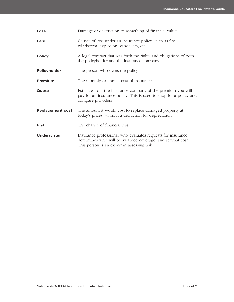| Loss                    | Damage or destruction to something of financial value                                                                                                                    |
|-------------------------|--------------------------------------------------------------------------------------------------------------------------------------------------------------------------|
| Peril                   | Causes of loss under an insurance policy, such as fire,<br>windstorm, explosion, vandalism, etc.                                                                         |
| <b>Policy</b>           | A legal contract that sets forth the rights and obligations of both<br>the policyholder and the insurance company                                                        |
| Policyholder            | The person who owns the policy                                                                                                                                           |
| Premium                 | The monthly or annual cost of insurance                                                                                                                                  |
| Quote                   | Estimate from the insurance company of the premium you will<br>pay for an insurance policy. This is used to shop for a policy and<br>compare providers                   |
| <b>Replacement cost</b> | The amount it would cost to replace damaged property at<br>today's prices, without a deduction for depreciation                                                          |
| <b>Risk</b>             | The chance of financial loss                                                                                                                                             |
| Underwriter             | Insurance professional who evaluates requests for insurance,<br>determines who will be awarded coverage, and at what cost.<br>This person is an expert in assessing risk |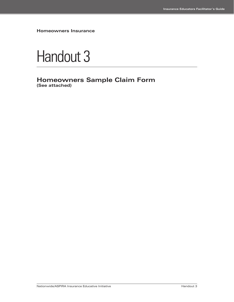

**Homeowners Sample Claim Form (See attached)**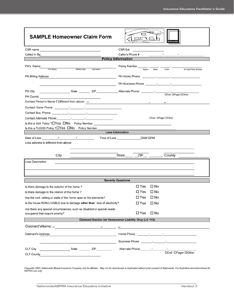| <b>SAMPLE Homeowner Claim Form</b>                                                                                                                                                                                                   |                                                                                                                                                                                                                                      |
|--------------------------------------------------------------------------------------------------------------------------------------------------------------------------------------------------------------------------------------|--------------------------------------------------------------------------------------------------------------------------------------------------------------------------------------------------------------------------------------|
| CSR name and the contract of the contract of the contract of the contract of the contract of the contract of the contract of the contract of the contract of the contract of the contract of the contract of the contract of t       | CSR Ext                                                                                                                                                                                                                              |
| Called In By:                                                                                                                                                                                                                        | Caller's Phone #                                                                                                                                                                                                                     |
|                                                                                                                                                                                                                                      | <b>Policy Information</b>                                                                                                                                                                                                            |
| PH's Name:<br>Middle Initial<br>Last Name<br><b>First Name</b>                                                                                                                                                                       | Policy Number ______________<br>$\frac{1}{\text{State}}$<br>Region<br>Prefix<br>Six Digit Policy Number                                                                                                                              |
| PH Billing Address                                                                                                                                                                                                                   | PH Home Phone <u>Phone Assembly Associated Associates</u>                                                                                                                                                                            |
|                                                                                                                                                                                                                                      | PH Business Phone <b>Face According to According the Second According to According the Second According to According the Second According to According the Second According to According the Second According to According the S</b> |
| State __________ ZIP____________________Alternate Phone: _________-_________-____<br>PH City<br>PH County <b>PH County</b>                                                                                                           | <b>DCell DPager DOther</b>                                                                                                                                                                                                           |
| Contact Person's Name if Different from above: frat                                                                                                                                                                                  | million and controller<br>last                                                                                                                                                                                                       |
| Contact Home Phone <b>Contact Home Phone</b>                                                                                                                                                                                         |                                                                                                                                                                                                                                      |
| Contact Bus. Phone <b>contact Business Contact Business Contact Business Contact Contact Contact Contact Contact Contact Contact Contact Contact Contact Contact Contact Contact Contact Contact Contact Contact Contact Contact</b> |                                                                                                                                                                                                                                      |
| Contact Alternate Phone: The Contact Alternate Phone:                                                                                                                                                                                | <b>DCell DPager DOther</b>                                                                                                                                                                                                           |
| Is this a JUA Policy ? $\Box$ Yes $\Box$ No Policy Number                                                                                                                                                                            |                                                                                                                                                                                                                                      |
| Is this a FLOOD Policy ? <sup>[2]</sup> Yes <sup>[2]</sup> No Policy Number                                                                                                                                                          |                                                                                                                                                                                                                                      |
|                                                                                                                                                                                                                                      | <b>Loss Information</b>                                                                                                                                                                                                              |
| Loss address is different from above:<br>City                                                                                                                                                                                        | State <b>ZIP</b><br>County                                                                                                                                                                                                           |
| Loss Description:                                                                                                                                                                                                                    |                                                                                                                                                                                                                                      |
|                                                                                                                                                                                                                                      | <b>Severity Questions</b>                                                                                                                                                                                                            |
| Is there damage to the exterior of the home?                                                                                                                                                                                         | $\square$ No<br>$\Box$ Yes                                                                                                                                                                                                           |
| Is there damage to the interior of the home?                                                                                                                                                                                         | $\square$ No<br>$\Box$ Yes                                                                                                                                                                                                           |
| Are the roof, ceiling, or walls of the home open to the elements?                                                                                                                                                                    | $\Box$ Yes<br>$\Box$ No                                                                                                                                                                                                              |
| Is the house NON-LIVABLE due to damage other than loss of electricity?                                                                                                                                                               | $\square$ No<br>$\Box$ Yes                                                                                                                                                                                                           |
| Are there any special circumstances; such as disabled or special needs<br>occupants that require priority?                                                                                                                           | $\square$ Yes<br>$\square$ No                                                                                                                                                                                                        |
|                                                                                                                                                                                                                                      | <b>Claimant Section for Homeowner Liability Only (LC 115)</b>                                                                                                                                                                        |
| Claimant's Name: will be a control of the control of the control of the control of the control of the control of the control of the control of the control of the control of the control of the control of the control of the        | last                                                                                                                                                                                                                                 |
| <b>Claimant's Address</b>                                                                                                                                                                                                            |                                                                                                                                                                                                                                      |
| <u> 1989 - Johann Harry Harry Harry Harry Harry Harry Harry Harry Harry Harry Harry Harry Harry Harry Harry Harry</u>                                                                                                                | Business Phone <b>Figure 1</b> Figure 1 Figure 1 Figure 1 Figure 1 Figure 1 Figure 1 Figure 1 Figure 1 Figure 1 Figure 1 Figure 1 Figure 1 Figure 1 Figure 1 Figure 1 Figure 1 Figure 1 Figure 1 Figure 1 Figure 1 Figure 1 Figure   |
| <b>CLT City</b><br>CLT County <b>CLT</b> County                                                                                                                                                                                      | Alternate Phone: - - - - -<br><b>DCell DPager DOther</b>                                                                                                                                                                             |

Copywrite 2003, Nationwide Mutual Insurance Company and its affiliates. May not be reproduced or duplicated without prior consent of Nationwide. For illustrative and instructional for<br>ASPIRA use only.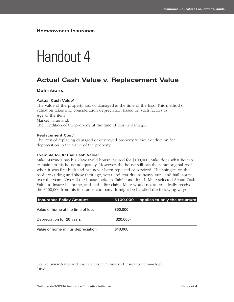## Handout 4

## **Actual Cash Value v. Replacement Value**

#### **Definitions:**

#### **Actual Cash Value1**

The value of the property lost or damaged at the time of the loss. This method of valuation takes into consideration depreciation based on such factors as: Age of the item Market value and, The condition of the property at the time of loss or damage.

#### **Replacement Cost<sup>2</sup>**

The cost of replacing damaged or destroyed property without deduction for depreciation in the value of the property.

#### **Example for Actual Cash Value:**

Mike Martinez has his 20-year-old house insured for \$100,000. Mike does what he can to maintain his house adequately. However, the house still has the same original roof when it was first built and has never been replaced or serviced. The shingles on the roof are curling and show their age, wear and tear due to heavy rains and hail storms over the years. Overall the house looks in "fair" condition. If Mike selected Actual Cash Value to insure his home, and had a fire claim, Mike would not automatically receive the \$100,000 from his insurance company. It might be handled the following way:

| <b>Insurance Policy Amount</b>    | \$100,000 - applies to only the structure |
|-----------------------------------|-------------------------------------------|
| Value of home at the time of loss | \$60,000                                  |
| Depreciation for 20 years         | (\$20,000)                                |
| Value of home minus depreciation  | \$40,000                                  |

<sup>1</sup>Source: www.Nationwideinsurance.com. Glossary of insurance terminology  $2$  Ibid

Nationwide/ASPIRA Insurance Educative Initiative Handout 4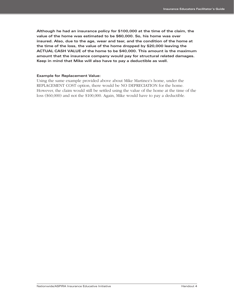**Although he had an insurance policy for \$100,000 at the time of the claim, the value of the home was estimated to be \$60,000. So, his home was over insured. Also, due to the age, wear and tear, and the condition of the home at the time of the loss, the value of the home dropped by \$20,000 leaving the ACTUAL CASH VALUE of the home to be \$40,000. This amount is the maximum amount that the insurance company would pay for structural related damages. Keep in mind that Mike will also have to pay a deductible as well.**

#### **Example for Replacement Value:**

Using the same example provided above about Mike Martinez's home, under the REPLACEMENT COST option, there would be NO DEPRECIATION for the home. However, the claim would still be settled using the value of the home at the time of the loss (\$60,000) and not the \$100,000. Again, Mike would have to pay a deductible.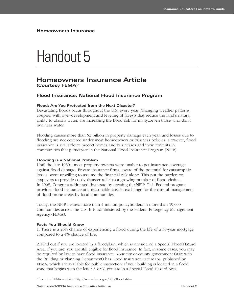## Handout 5

## **Homeowners Insurance Article (Courtesy FEMA)3**

#### **Flood Insurance: National Flood Insurance Program**

#### **Flood: Are You Protected from the Next Disaster?**

Devastating floods occur throughout the U.S. every year. Changing weather patterns, coupled with over-development and leveling of forests that reduce the land's natural ability to absorb water, are increasing the flood risk for many...even those who don't live near water.

Flooding causes more than \$2 billion in property damage each year, and losses due to flooding are not covered under most homeowners or business policies. However, flood insurance is available to protect homes and businesses and their contents in communities that participate in the National Flood Insurance Program (NFIP).

#### **Flooding is a National Problem**

Until the late 1960s, most property owners were unable to get insurance coverage against flood damage. Private insurance firms, aware of the potential for catastrophic losses, were unwilling to assume the financial risk alone. This put the burden on taxpayers to provide costly disaster relief to a growing number of flood victims. In 1968, Congress addressed this issue by creating the NFIP. This Federal program provides flood insurance at a reasonable cost in exchange for the careful management of flood-prone areas by local communities.

Today, the NFIP insures more than 4 million policyholders in more than 19,000 communities across the U.S. It is administered by the Federal Emergency Management Agency (FEMA).

#### **Facts You Should Know**

1. There is a 26% chance of experiencing a flood during the life of a 30-year mortgage compared to a 4% chance of fire.

2. Find out if you are located in a floodplain, which is considered a Special Flood Hazard Area. If you are, you are still eligible for flood insurance. In fact, in some cases, you may be required by law to have flood insurance. Your city or county government (start with the Building or Planning Department) has Flood Insurance Rate Maps, published by FEMA, which are available for public inspection. If your building is located in a flood zone that begins with the letter A or V, you are in a Special Flood Hazard Area.

<sup>3</sup> from the FEMA website: http://www.fema.gov/nfip/flood.shtm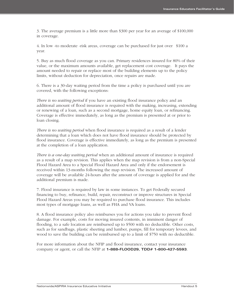3. The average premium is a little more than \$300 per year for an average of \$100,000 in coverage.

4. In low -to moderate -risk areas, coverage can be purchased for just over \$100 a year.

5. Buy as much flood coverage as you can. Primary residences insured for 80% of their value, or the maximum amounts available, get replacement cost coverage. It pays the amount needed to repair or replace most of the building elements up to the policy limits, without deduction for depreciation, once repairs are made.

6. There is a 30-day waiting period from the time a policy is purchased until you are covered, with the following exceptions:

*There is no waiting period* if you have an existing flood insurance policy and an additional amount of flood insurance is required with the making, increasing, extending or renewing of a loan, such as a second mortgage, home equity loan, or refinancing. Coverage is effective immediately, as long as the premium is presented at or prior to loan closing.

*There is no waiting period* when flood insurance is required as a result of a lender determining that a loan which does not have flood insurance should be protected by flood insurance. Coverage is effective immediately, as long as the premium is presented at the completion of a loan application.

*There is a one-day waiting period* when an additional amount of insurance is required as a result of a map revision. This applies when the map revision is from a non-Special Flood Hazard Area to a Special Flood Hazard Area and only if the endorsement is received within 13-months following the map revision. The increased amount of coverage will be available 24-hours after the amount of coverage is applied for and the additional premium is made.

7. Flood insurance is required by law in some instances. To get Federally secured financing to buy, refinance, build, repair, reconstruct or improve structures in Special Flood Hazard Areas you may be required to purchase flood insurance. This includes most types of mortgage loans, as well as FHA and VA loans.

8. A flood insurance policy also reimburses you for actions you take to prevent flood damage. For example, costs for moving insured contents, in imminent danger of flooding, to a safe location are reimbursed up to \$500 with no deductible. Other costs, such as for sandbags, plastic sheeting and lumber, pumps, fill for temporary levees, and wood to save the building can be reimbursed up to a limit of \$750 with no deductible.

For more information about the NFIP and flood insurance, contact your insurance company or agent, or call the NFIP at **1-888-FLOOD29, TDD# 1-800-427-5593**.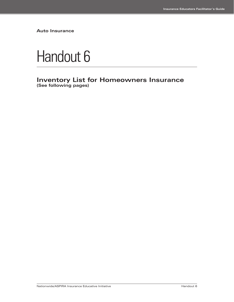**Auto Insurance**



**Inventory List for Homeowners Insurance (See following pages)**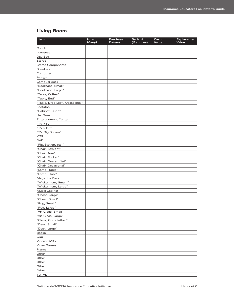## **Living Room**

| Item                            | How<br>Many? | Purchase<br>Date(s) | Serial #<br>(if applies) | Cash<br>Value | Replacement<br>Value |
|---------------------------------|--------------|---------------------|--------------------------|---------------|----------------------|
| Couch                           |              |                     |                          |               |                      |
| Loveseat                        |              |                     |                          |               |                      |
| Day Bed                         |              |                     |                          |               |                      |
| Stereo                          |              |                     |                          |               |                      |
| <b>Stereo Components</b>        |              |                     |                          |               |                      |
| Speakers                        |              |                     |                          |               |                      |
| Computer                        |              |                     |                          |               |                      |
| Printer                         |              |                     |                          |               |                      |
| Compuer desk                    |              |                     |                          |               |                      |
| "Bookcase, Small"               |              |                     |                          |               |                      |
| "Bookcase, Large"               |              |                     |                          |               |                      |
| "Table, Coffee"                 |              |                     |                          |               |                      |
| "Table, End"                    |              |                     |                          |               |                      |
| "Table, Drop Leaf / Occasional" |              |                     |                          |               |                      |
| Footstool                       |              |                     |                          |               |                      |
| "Cabinet, Curio"                |              |                     |                          |               |                      |
| <b>Hall Tree</b>                |              |                     |                          |               |                      |
| <b>Entertainment Center</b>     |              |                     |                          |               |                      |
| "TV <19""                       |              |                     |                          |               |                      |
| "TV > $19"$ "                   |              |                     |                          |               |                      |
| "TV, Big Screen"                |              |                     |                          |               |                      |
| <b>VCR</b>                      |              |                     |                          |               |                      |
| <b>DVD</b>                      |              |                     |                          |               |                      |
| "PlayStation, etc."             |              |                     |                          |               |                      |
| "Chair, Straight"               |              |                     |                          |               |                      |
| "Chair, Arm"                    |              |                     |                          |               |                      |
| "Chair, Rocker"                 |              |                     |                          |               |                      |
| "Chair, Overstuffed"            |              |                     |                          |               |                      |
| "Chair, Occasional"             |              |                     |                          |               |                      |
| "Lamp, Table"                   |              |                     |                          |               |                      |
| "Lamp, Floor"                   |              |                     |                          |               |                      |
| Magazine Rack                   |              |                     |                          |               |                      |
| "Wicker Item, Small."           |              |                     |                          |               |                      |
| "Wicker Item, Large"            |              |                     |                          |               |                      |
| <b>Music Cabinet</b>            |              |                     |                          |               |                      |
| "Chest, Large"                  |              |                     |                          |               |                      |
| "Chest, Small"                  |              |                     |                          |               |                      |
| "Rug, Small"                    |              |                     |                          |               |                      |
| "Rug, Large"                    |              |                     |                          |               |                      |
| "Art Glass, Small"              |              |                     |                          |               |                      |
| "Art Glass, Large"              |              |                     |                          |               |                      |
| "Clock, Grandfather"            |              |                     |                          |               |                      |
| "Desk, Small"                   |              |                     |                          |               |                      |
| "Desk, Large"                   |              |                     |                          |               |                      |
| <b>Books</b>                    |              |                     |                          |               |                      |
| CDs                             |              |                     |                          |               |                      |
| Videos/DVDs                     |              |                     |                          |               |                      |
| Video Games                     |              |                     |                          |               |                      |
| Plants                          |              |                     |                          |               |                      |
| Other                           |              |                     |                          |               |                      |
| Other                           |              |                     |                          |               |                      |
| Other                           |              |                     |                          |               |                      |
| Other                           |              |                     |                          |               |                      |
| Other                           |              |                     |                          |               |                      |
| <b>TOTAL</b>                    |              |                     |                          |               |                      |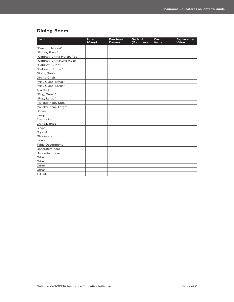## **Dining Room**

| Item                        | How<br>Many? | <b>Purchase</b><br>Date(s) | Serial #<br>(if applies) | Cash<br>Value | Replacement<br>Value |
|-----------------------------|--------------|----------------------------|--------------------------|---------------|----------------------|
| "Bench, Harvest"            |              |                            |                          |               |                      |
| "Buffet, Base"              |              |                            |                          |               |                      |
| "Cabinet, China Hutch, Top" |              |                            |                          |               |                      |
| "Cabinet, China/One Piece"  |              |                            |                          |               |                      |
| "Cabinet, Curio"            |              |                            |                          |               |                      |
| "Cabinet, Corner"           |              |                            |                          |               |                      |
| <b>Dining Table</b>         |              |                            |                          |               |                      |
| Dining Chair                |              |                            |                          |               |                      |
| "Art / Glass, Small"        |              |                            |                          |               |                      |
| "Art / Glass, Large"        |              |                            |                          |               |                      |
| <b>Tea Cart</b>             |              |                            |                          |               |                      |
| "Rug, Small"                |              |                            |                          |               |                      |
| "Rug, Large"                |              |                            |                          |               |                      |
| "Wicker Item, Small"        |              |                            |                          |               |                      |
| "Wicker Item, Large"        |              |                            |                          |               |                      |
| Server                      |              |                            |                          |               |                      |
| Lamp                        |              |                            |                          |               |                      |
| Chandelier                  |              |                            |                          |               |                      |
| China/Dishes                |              |                            |                          |               |                      |
| Silver                      |              |                            |                          |               |                      |
| Crystal                     |              |                            |                          |               |                      |
| Glassware                   |              |                            |                          |               |                      |
| Linen                       |              |                            |                          |               |                      |
| <b>Table Decorations</b>    |              |                            |                          |               |                      |
| Decorative Item             |              |                            |                          |               |                      |
| Decorative Item             |              |                            |                          |               |                      |
| Other                       |              |                            |                          |               |                      |
| Other                       |              |                            |                          |               |                      |
| Other                       |              |                            |                          |               |                      |
| Other                       |              |                            |                          |               |                      |
| <b>TOTAL</b>                |              |                            |                          |               |                      |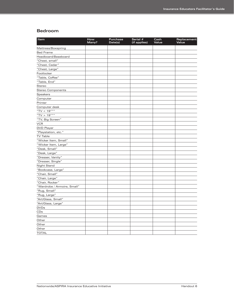#### **Bedroom**

| Mattress/Boxspring<br><b>Bed Frame</b><br>Headboard/Baseboard<br>"Chest, small"<br>"Chest, Cedar"<br>"Chest, Large"<br>Footlocker<br>"Table, Coffee"<br>"Table, End"<br>Stereo<br><b>Stereo Components</b><br>Speakers<br>Computer<br>Printer<br>Computer desk<br>"TV < $19$ """<br>"TV > $19$ """<br>"TV, Big Screen" | Item       | How<br>Many? | <b>Purchase</b><br>Date(s) | Serial #<br>(if applies) | Cash<br>Value | Replacement<br>Value |
|------------------------------------------------------------------------------------------------------------------------------------------------------------------------------------------------------------------------------------------------------------------------------------------------------------------------|------------|--------------|----------------------------|--------------------------|---------------|----------------------|
|                                                                                                                                                                                                                                                                                                                        |            |              |                            |                          |               |                      |
|                                                                                                                                                                                                                                                                                                                        |            |              |                            |                          |               |                      |
|                                                                                                                                                                                                                                                                                                                        |            |              |                            |                          |               |                      |
|                                                                                                                                                                                                                                                                                                                        |            |              |                            |                          |               |                      |
|                                                                                                                                                                                                                                                                                                                        |            |              |                            |                          |               |                      |
|                                                                                                                                                                                                                                                                                                                        |            |              |                            |                          |               |                      |
|                                                                                                                                                                                                                                                                                                                        |            |              |                            |                          |               |                      |
|                                                                                                                                                                                                                                                                                                                        |            |              |                            |                          |               |                      |
|                                                                                                                                                                                                                                                                                                                        |            |              |                            |                          |               |                      |
|                                                                                                                                                                                                                                                                                                                        |            |              |                            |                          |               |                      |
|                                                                                                                                                                                                                                                                                                                        |            |              |                            |                          |               |                      |
|                                                                                                                                                                                                                                                                                                                        |            |              |                            |                          |               |                      |
|                                                                                                                                                                                                                                                                                                                        |            |              |                            |                          |               |                      |
|                                                                                                                                                                                                                                                                                                                        |            |              |                            |                          |               |                      |
|                                                                                                                                                                                                                                                                                                                        |            |              |                            |                          |               |                      |
|                                                                                                                                                                                                                                                                                                                        |            |              |                            |                          |               |                      |
|                                                                                                                                                                                                                                                                                                                        |            |              |                            |                          |               |                      |
|                                                                                                                                                                                                                                                                                                                        |            |              |                            |                          |               |                      |
|                                                                                                                                                                                                                                                                                                                        | <b>VCR</b> |              |                            |                          |               |                      |
| <b>DVD Player</b>                                                                                                                                                                                                                                                                                                      |            |              |                            |                          |               |                      |
| "Playstation, etc."                                                                                                                                                                                                                                                                                                    |            |              |                            |                          |               |                      |
| <b>TV Table</b>                                                                                                                                                                                                                                                                                                        |            |              |                            |                          |               |                      |
| "Wicker Item, Small"                                                                                                                                                                                                                                                                                                   |            |              |                            |                          |               |                      |
| "Wicker Item, Large"                                                                                                                                                                                                                                                                                                   |            |              |                            |                          |               |                      |
| "Desk, Small"                                                                                                                                                                                                                                                                                                          |            |              |                            |                          |               |                      |
| "Desk, Large"                                                                                                                                                                                                                                                                                                          |            |              |                            |                          |               |                      |
| "Dresser, Vanity"                                                                                                                                                                                                                                                                                                      |            |              |                            |                          |               |                      |
| "Dresser, Single"                                                                                                                                                                                                                                                                                                      |            |              |                            |                          |               |                      |
| Night Stand                                                                                                                                                                                                                                                                                                            |            |              |                            |                          |               |                      |
| "Bookcase, Large"                                                                                                                                                                                                                                                                                                      |            |              |                            |                          |               |                      |
| "Chair, Small"                                                                                                                                                                                                                                                                                                         |            |              |                            |                          |               |                      |
| "Chair, Large"                                                                                                                                                                                                                                                                                                         |            |              |                            |                          |               |                      |
| "Chair, Rocker"                                                                                                                                                                                                                                                                                                        |            |              |                            |                          |               |                      |
| "Wardrobe / Armoire, Small"                                                                                                                                                                                                                                                                                            |            |              |                            |                          |               |                      |
| "Rug, Small"                                                                                                                                                                                                                                                                                                           |            |              |                            |                          |               |                      |
| "Rug, Large"                                                                                                                                                                                                                                                                                                           |            |              |                            |                          |               |                      |
| "Art/Glass, Small"                                                                                                                                                                                                                                                                                                     |            |              |                            |                          |               |                      |
| "Art/Glass, Large"                                                                                                                                                                                                                                                                                                     |            |              |                            |                          |               |                      |
| <b>DVDs</b>                                                                                                                                                                                                                                                                                                            |            |              |                            |                          |               |                      |
| CDs                                                                                                                                                                                                                                                                                                                    |            |              |                            |                          |               |                      |
| Games                                                                                                                                                                                                                                                                                                                  |            |              |                            |                          |               |                      |
| Other                                                                                                                                                                                                                                                                                                                  |            |              |                            |                          |               |                      |
| Other                                                                                                                                                                                                                                                                                                                  |            |              |                            |                          |               |                      |
| Other                                                                                                                                                                                                                                                                                                                  |            |              |                            |                          |               |                      |
| <b>TOTAL</b>                                                                                                                                                                                                                                                                                                           |            |              |                            |                          |               |                      |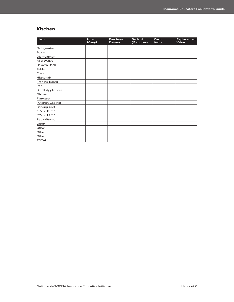#### **Kitchen**

| Item                    | How<br>Many? | <b>Purchase</b><br>Date(s) | Serial #<br>(if applies) | Cash<br>Value | Replacement<br>Value |
|-------------------------|--------------|----------------------------|--------------------------|---------------|----------------------|
| Refrigerator            |              |                            |                          |               |                      |
| Stove                   |              |                            |                          |               |                      |
| Dishwasher              |              |                            |                          |               |                      |
| Microwave               |              |                            |                          |               |                      |
| Baker's Rack            |              |                            |                          |               |                      |
| Table                   |              |                            |                          |               |                      |
| Chair                   |              |                            |                          |               |                      |
| Highchair               |              |                            |                          |               |                      |
| Ironing Board           |              |                            |                          |               |                      |
| Iron                    |              |                            |                          |               |                      |
| <b>Small Appliances</b> |              |                            |                          |               |                      |
| <b>Dishes</b>           |              |                            |                          |               |                      |
| Flatware                |              |                            |                          |               |                      |
| Kitchen Cabinet         |              |                            |                          |               |                      |
| Serving Cart            |              |                            |                          |               |                      |
| "TV < $19$ """          |              |                            |                          |               |                      |
| "TV > $19$ """          |              |                            |                          |               |                      |
| Radio/Stereo            |              |                            |                          |               |                      |
| Other                   |              |                            |                          |               |                      |
| Other                   |              |                            |                          |               |                      |
| Other                   |              |                            |                          |               |                      |
| Other                   |              |                            |                          |               |                      |
| <b>TOTAL</b>            |              |                            |                          |               |                      |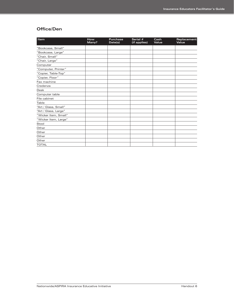### **Office/Den**

| Item                 | <b>How</b><br>Many? | <b>Purchase</b><br>Date(s) | Serial #<br>(if applies) | Cash<br>Value | Replacement<br>Value |
|----------------------|---------------------|----------------------------|--------------------------|---------------|----------------------|
| "Bookcase, Small"    |                     |                            |                          |               |                      |
| "Bookcase, Large"    |                     |                            |                          |               |                      |
| "Chair, Small"       |                     |                            |                          |               |                      |
| "Chair, Large"       |                     |                            |                          |               |                      |
| Computer             |                     |                            |                          |               |                      |
| "Computer, Printer"  |                     |                            |                          |               |                      |
| "Copier, Table-Top"  |                     |                            |                          |               |                      |
| "Copier, Floor"      |                     |                            |                          |               |                      |
| Fax machine          |                     |                            |                          |               |                      |
| Credenza             |                     |                            |                          |               |                      |
| <b>Desk</b>          |                     |                            |                          |               |                      |
| Computer table       |                     |                            |                          |               |                      |
| File cabinet         |                     |                            |                          |               |                      |
| Table                |                     |                            |                          |               |                      |
| "Art / Glass, Small" |                     |                            |                          |               |                      |
| "Art / Glass, Large" |                     |                            |                          |               |                      |
| "Wicker Item, Small" |                     |                            |                          |               |                      |
| "Wicker Item, Large" |                     |                            |                          |               |                      |
| Stool                |                     |                            |                          |               |                      |
| Other                |                     |                            |                          |               |                      |
| Other                |                     |                            |                          |               |                      |
| Other                |                     |                            |                          |               |                      |
| Other                |                     |                            |                          |               |                      |
| <b>TOTAL</b>         |                     |                            |                          |               |                      |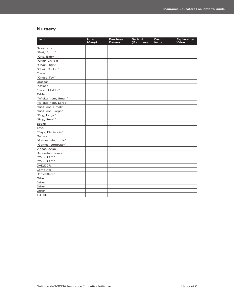### **Nursery**

| Item                 | How<br>Many? | <b>Purchase</b><br>Date(s) | Serial #<br>(if applies) | Cash<br>Value | Replacement<br>Value |
|----------------------|--------------|----------------------------|--------------------------|---------------|----------------------|
| <b>Bassinette</b>    |              |                            |                          |               |                      |
| "Bed, Youth"         |              |                            |                          |               |                      |
| "Crib, Baby"         |              |                            |                          |               |                      |
| "Chair, Child's"     |              |                            |                          |               |                      |
| "Chair, High"        |              |                            |                          |               |                      |
| "Chair, Rocker"      |              |                            |                          |               |                      |
| Chest                |              |                            |                          |               |                      |
| "Chest, Toy"         |              |                            |                          |               |                      |
| <b>Dresser</b>       |              |                            |                          |               |                      |
| Playpen              |              |                            |                          |               |                      |
| "Table, Child's"     |              |                            |                          |               |                      |
| Table                |              |                            |                          |               |                      |
| "Wicker Item, Small" |              |                            |                          |               |                      |
| "Wicker Item, Large" |              |                            |                          |               |                      |
| "Art/Glass, Small"   |              |                            |                          |               |                      |
| "Art/Glass, Large"   |              |                            |                          |               |                      |
| "Rug, Large"         |              |                            |                          |               |                      |
| "Rug, Small"         |              |                            |                          |               |                      |
| <b>Books</b>         |              |                            |                          |               |                      |
| Toys                 |              |                            |                          |               |                      |
| "Toys, Electronic"   |              |                            |                          |               |                      |
| Games                |              |                            |                          |               |                      |
| "Games, electronic"  |              |                            |                          |               |                      |
| "Games, computer"    |              |                            |                          |               |                      |
| Videos/DVDs          |              |                            |                          |               |                      |
| Decorative Items     |              |                            |                          |               |                      |
| "TV > $19$ ""        |              |                            |                          |               |                      |
| "TV < $19$ """       |              |                            |                          |               |                      |
| DVD/DCR              |              |                            |                          |               |                      |
| Computer             |              |                            |                          |               |                      |
| Radio/Stereo         |              |                            |                          |               |                      |
| Other                |              |                            |                          |               |                      |
| Other                |              |                            |                          |               |                      |
| Other                |              |                            |                          |               |                      |
| Other                |              |                            |                          |               |                      |
| <b>TOTAL</b>         |              |                            |                          |               |                      |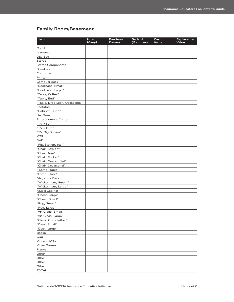## **Family Room/Basement**

| Item                            | How<br>Many? | Purchase<br>Date(s) | Serial #<br>(if applies) | Cash<br>Value | Replacement<br>Value |
|---------------------------------|--------------|---------------------|--------------------------|---------------|----------------------|
| Couch                           |              |                     |                          |               |                      |
| Loveseat                        |              |                     |                          |               |                      |
| Day Bed                         |              |                     |                          |               |                      |
| Stereo                          |              |                     |                          |               |                      |
| <b>Stereo Components</b>        |              |                     |                          |               |                      |
| <b>Speakers</b>                 |              |                     |                          |               |                      |
| Computer                        |              |                     |                          |               |                      |
| Printer                         |              |                     |                          |               |                      |
| Compuer desk                    |              |                     |                          |               |                      |
| "Bookcase, Small"               |              |                     |                          |               |                      |
| "Bookcase, Large"               |              |                     |                          |               |                      |
| "Table, Coffee"                 |              |                     |                          |               |                      |
| "Table, End"                    |              |                     |                          |               |                      |
| "Table, Drop Leaf / Occasional" |              |                     |                          |               |                      |
| Footstool                       |              |                     |                          |               |                      |
| "Cabinet, Curio"                |              |                     |                          |               |                      |
| <b>Hall Tree</b>                |              |                     |                          |               |                      |
| <b>Entertainment Center</b>     |              |                     |                          |               |                      |
| "TV <19"""                      |              |                     |                          |               |                      |
| "TV > $19$ """                  |              |                     |                          |               |                      |
| "TV, Big Screen"                |              |                     |                          |               |                      |
| <b>VCR</b>                      |              |                     |                          |               |                      |
| <b>DVD</b>                      |              |                     |                          |               |                      |
| "PlayStation, etc."             |              |                     |                          |               |                      |
| "Chair, Straight"               |              |                     |                          |               |                      |
| "Chair, Arm"                    |              |                     |                          |               |                      |
| "Chair, Rocker"                 |              |                     |                          |               |                      |
| "Chair, Overstuffed"            |              |                     |                          |               |                      |
| "Chair, Occasional"             |              |                     |                          |               |                      |
| " Lamp, Table"                  |              |                     |                          |               |                      |
| "Lamp, Floor"                   |              |                     |                          |               |                      |
|                                 |              |                     |                          |               |                      |
| Magazine Rack                   |              |                     |                          |               |                      |
| "Wicker Item, Small."           |              |                     |                          |               |                      |
| "Wicker Item, Large"            |              |                     |                          |               |                      |
| Music Cabinet                   |              |                     |                          |               |                      |
| "Chest, Large"                  |              |                     |                          |               |                      |
| "Chest, Small"                  |              |                     |                          |               |                      |
| "Rug, Small"                    |              |                     |                          |               |                      |
| "Rug, Large"                    |              |                     |                          |               |                      |
| "Art Glass, Small"              |              |                     |                          |               |                      |
| "Art Glass, Large"              |              |                     |                          |               |                      |
| "Clock, Grandfather"            |              |                     |                          |               |                      |
| "Desk, Small"                   |              |                     |                          |               |                      |
| "Desk, Large"                   |              |                     |                          |               |                      |
| <b>Books</b>                    |              |                     |                          |               |                      |
| CDs                             |              |                     |                          |               |                      |
| Videos/DVDs                     |              |                     |                          |               |                      |
| Video Games                     |              |                     |                          |               |                      |
| Plants                          |              |                     |                          |               |                      |
| Other                           |              |                     |                          |               |                      |
| Other                           |              |                     |                          |               |                      |
| Other                           |              |                     |                          |               |                      |
| Other                           |              |                     |                          |               |                      |
| <b>TOTAL</b>                    |              |                     |                          |               |                      |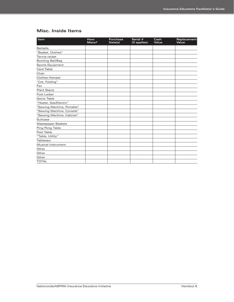## **Misc. Inside Items**

| Item                       | How<br>Many? | <b>Purchase</b><br>Date(s) | Serial #<br>(if applies) | Cash<br>Value | Replacement<br>Value |
|----------------------------|--------------|----------------------------|--------------------------|---------------|----------------------|
| <b>Barbells</b>            |              |                            |                          |               |                      |
| "Basket, Clothes"          |              |                            |                          |               |                      |
| Tennis racket              |              |                            |                          |               |                      |
| Bowling Ball/Bag           |              |                            |                          |               |                      |
| Sports Equipment           |              |                            |                          |               |                      |
| <b>Card Table</b>          |              |                            |                          |               |                      |
| Chair                      |              |                            |                          |               |                      |
| Clothes Hamper             |              |                            |                          |               |                      |
| "Cot, Folding"             |              |                            |                          |               |                      |
| Fan                        |              |                            |                          |               |                      |
| <b>Plant Stand</b>         |              |                            |                          |               |                      |
| Foot Locker                |              |                            |                          |               |                      |
| Game Table                 |              |                            |                          |               |                      |
| "Heater, Gas/Electric"     |              |                            |                          |               |                      |
| "Sewing Machine, Portable" |              |                            |                          |               |                      |
| "Sewing Machine, Console"  |              |                            |                          |               |                      |
| "Sewing Machine, Cabinet"  |              |                            |                          |               |                      |
| Suitcase                   |              |                            |                          |               |                      |
| <b>Wastepaper Baskets</b>  |              |                            |                          |               |                      |
| Ping Pong Table            |              |                            |                          |               |                      |
| Pool Table                 |              |                            |                          |               |                      |
| "Table, Utility"           |              |                            |                          |               |                      |
| Tablesaw                   |              |                            |                          |               |                      |
| Musical Instrument         |              |                            |                          |               |                      |
| Other                      |              |                            |                          |               |                      |
| Other                      |              |                            |                          |               |                      |
| Other                      |              |                            |                          |               |                      |
| <b>TOTAL</b>               |              |                            |                          |               |                      |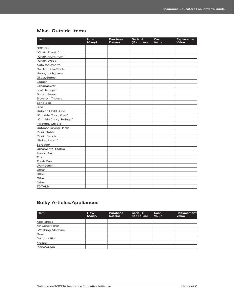## **Misc. Outside Items**

| Item                        | How<br>Many? | <b>Purchase</b><br>Date(s) | Serial #<br>(if applies) | Cash<br>Value | Replacement<br>Value |
|-----------------------------|--------------|----------------------------|--------------------------|---------------|----------------------|
| <b>BBQ Grill</b>            |              |                            |                          |               |                      |
| "Chair, Plastic"            |              |                            |                          |               |                      |
| "Chair, Aluminum"           |              |                            |                          |               |                      |
| "Chair, Wood"               |              |                            |                          |               |                      |
| Auto tools/parts            |              |                            |                          |               |                      |
| Garden Hose/Tools           |              |                            |                          |               |                      |
| Hobby tools/parts           |              |                            |                          |               |                      |
| Glider/Settee               |              |                            |                          |               |                      |
| Ladder                      |              |                            |                          |               |                      |
| Lawnmower                   |              |                            |                          |               |                      |
| Leaf Sweeper                |              |                            |                          |               |                      |
| Snow blower                 |              |                            |                          |               |                      |
| Bicycle/ Tricycle           |              |                            |                          |               |                      |
| Sand Box                    |              |                            |                          |               |                      |
| Sled                        |              |                            |                          |               |                      |
| Outside Child Slide         |              |                            |                          |               |                      |
| "Outside Child, Gym"        |              |                            |                          |               |                      |
| "Outside Child, Swings"     |              |                            |                          |               |                      |
| "Wagon, Child's"            |              |                            |                          |               |                      |
| <b>Outdoor Drying Racks</b> |              |                            |                          |               |                      |
| Picnic Table                |              |                            |                          |               |                      |
| Picnic Bench                |              |                            |                          |               |                      |
| "Roller, Lawn"              |              |                            |                          |               |                      |
| Spreader                    |              |                            |                          |               |                      |
| <b>Ornamental Statue</b>    |              |                            |                          |               |                      |
| <b>Tackle Box</b>           |              |                            |                          |               |                      |
| Tire                        |              |                            |                          |               |                      |
| <b>Trash Can</b>            |              |                            |                          |               |                      |
| Workbench                   |              |                            |                          |               |                      |
| Other                       |              |                            |                          |               |                      |
| Other                       |              |                            |                          |               |                      |
| Other                       |              |                            |                          |               |                      |
| Other                       |              |                            |                          |               |                      |
| <b>TOTALS</b>               |              |                            |                          |               |                      |

## **Bulky Articles/Appliances**

| <b>Item</b>            | <b>How</b><br>Many? | <b>Purchase</b><br>Date(s) | Serial $#$<br>(if applies) | Cash<br>Value | Replacement<br>Value |
|------------------------|---------------------|----------------------------|----------------------------|---------------|----------------------|
| Appliances             |                     |                            |                            |               |                      |
| Air Conditioner        |                     |                            |                            |               |                      |
| <b>Washing Machine</b> |                     |                            |                            |               |                      |
| Dryer                  |                     |                            |                            |               |                      |
| Dehumidifier           |                     |                            |                            |               |                      |
| Freezer                |                     |                            |                            |               |                      |
| Piano/Organ            |                     |                            |                            |               |                      |